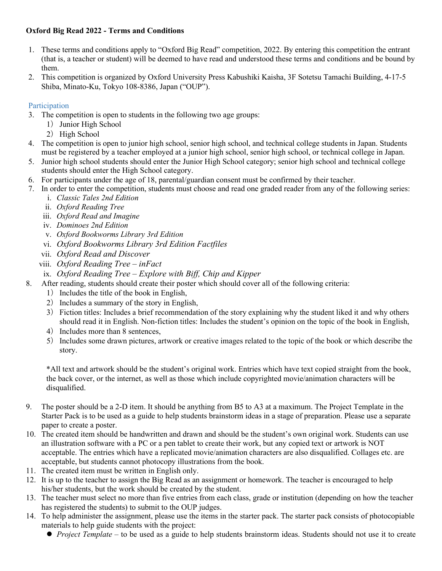# **Oxford Big Read 2022 - Terms and Conditions**

- 1. These terms and conditions apply to "Oxford Big Read" competition, 2022. By entering this competition the entrant (that is, a teacher or student) will be deemed to have read and understood these terms and conditions and be bound by them.
- 2. This competition is organized by Oxford University Press Kabushiki Kaisha, 3F Sotetsu Tamachi Building, 4-17-5 Shiba, Minato-Ku, Tokyo 108-8386, Japan ("OUP").

# Participation

- 3. The competition is open to students in the following two age groups:
	- 1) Junior High School
	- 2) High School
- 4. The competition is open to junior high school, senior high school, and technical college students in Japan. Students must be registered by a teacher employed at a junior high school, senior high school, or technical college in Japan.
- 5. Junior high school students should enter the Junior High School category; senior high school and technical college students should enter the High School category.
- 6. For participants under the age of 18, parental/guardian consent must be confirmed by their teacher.
- 7. In order to enter the competition, students must choose and read one graded reader from any of the following series:
	- i. *Classic Tales 2nd Edition*
	- ii. *Oxford Reading Tree*
	- iii. *Oxford Read and Imagine*
	- iv. *Dominoes 2nd Edition*
	- v. *Oxford Bookworms Library 3rd Edition*
	- vi. *Oxford Bookworms Library 3rd Edition Factfiles*
	- vii. *Oxford Read and Discover*
	- viii. *Oxford Reading Tree – inFact*
	- ix. *Oxford Reading Tree – Explore with Biff, Chip and Kipper*
- 8. After reading, students should create their poster which should cover all of the following criteria:
	- 1) Includes the title of the book in English,
	- 2) Includes a summary of the story in English,
	- 3) Fiction titles: Includes a brief recommendation of the story explaining why the student liked it and why others should read it in English. Non-fiction titles: Includes the student's opinion on the topic of the book in English,
	- 4) Includes more than 8 sentences,
	- 5) Includes some drawn pictures, artwork or creative images related to the topic of the book or which describe the story.

\*All text and artwork should be the student's original work. Entries which have text copied straight from the book, the back cover, or the internet, as well as those which include copyrighted movie/animation characters will be disqualified.

- 9. The poster should be a 2-D item. It should be anything from B5 to A3 at a maximum. The Project Template in the Starter Pack is to be used as a guide to help students brainstorm ideas in a stage of preparation. Please use a separate paper to create a poster.
- 10. The created item should be handwritten and drawn and should be the student's own original work. Students can use an illustration software with a PC or a pen tablet to create their work, but any copied text or artwork is NOT acceptable. The entries which have a replicated movie/animation characters are also disqualified. Collages etc. are acceptable, but students cannot photocopy illustrations from the book.
- 11. The created item must be written in English only.
- 12. It is up to the teacher to assign the Big Read as an assignment or homework. The teacher is encouraged to help his/her students, but the work should be created by the student.
- 13. The teacher must select no more than five entries from each class, grade or institution (depending on how the teacher has registered the students) to submit to the OUP judges.
- 14. To help administer the assignment, please use the items in the starter pack. The starter pack consists of photocopiable materials to help guide students with the project:
	- *Project Template* to be used as a guide to help students brainstorm ideas. Students should not use it to create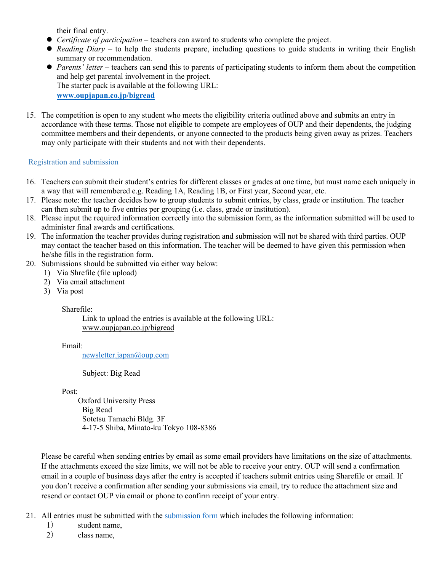their final entry.

- *Certificate of participation* teachers can award to students who complete the project.
- *Reading Diary* to help the students prepare, including questions to guide students in writing their English summary or recommendation.
- *Parents' letter* teachers can send this to parents of participating students to inform them about the competition and help get parental involvement in the project. The starter pack is available at the following URL: **[www.oupjapan.co.jp/bigread](http://www.oupjapan.co.jp/bigread)**
- 15. The competition is open to any student who meets the eligibility criteria outlined above and submits an entry in accordance with these terms. Those not eligible to compete are employees of OUP and their dependents, the judging committee members and their dependents, or anyone connected to the products being given away as prizes. Teachers may only participate with their students and not with their dependents.

## Registration and submission

- 16. Teachers can submit their student's entries for different classes or grades at one time, but must name each uniquely in a way that will remembered e.g. Reading 1A, Reading 1B, or First year, Second year, etc.
- 17. Please note: the teacher decides how to group students to submit entries, by class, grade or institution. The teacher can then submit up to five entries per grouping (i.e. class, grade or institution).
- 18. Please input the required information correctly into the submission form, as the information submitted will be used to administer final awards and certifications.
- 19. The information the teacher provides during registration and submission will not be shared with third parties. OUP may contact the teacher based on this information. The teacher will be deemed to have given this permission when he/she fills in the registration form.
- 20. Submissions should be submitted via either way below:
	- 1) Via Shrefile (file upload)
	- 2) Via email attachment
	- 3) Via post

Sharefile:

Link to upload the entries is available at the following URL: [www.oupjapan.co.jp/bigread](http://www.oupjapan.co.jp/bigread)

Email:

[newsletter.japan@oup.com](mailto:newsletter.japan@oup.com)

Subject: Big Read

Post:

Oxford University Press Big Read Sotetsu Tamachi Bldg. 3F 4-17-5 Shiba, Minato-ku Tokyo 108-8386

Please be careful when sending entries by email as some email providers have limitations on the size of attachments. If the attachments exceed the size limits, we will not be able to receive your entry. OUP will send a confirmation email in a couple of business days after the entry is accepted if teachers submit entries using Sharefile or email. If you don't receive a confirmation after sending your submissions via email, try to reduce the attachment size and resend or contact OUP via email or phone to confirm receipt of your entry.

- 21. All entries must be submitted with the [submission form](https://www.oupjapan.co.jp/sites/default/files/contents/campaigns/bigread/2022/BigRead2022_Submission_Form.xlsx) which includes the following information:
	- 1) student name,
	- 2) class name,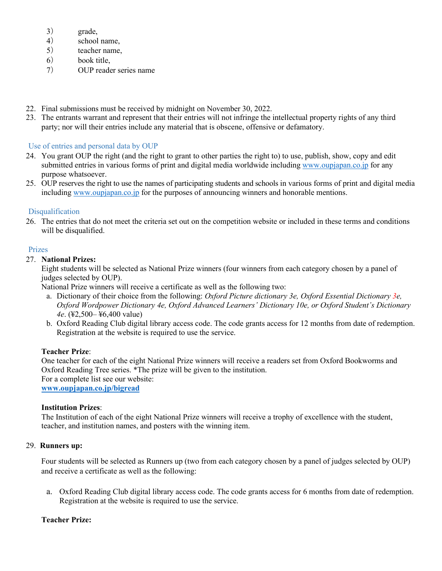- 3) grade,
- 4) school name,
- 5) teacher name,
- 6) book title,
- 7) OUP reader series name
- 22. Final submissions must be received by midnight on November 30, 2022.
- 23. The entrants warrant and represent that their entries will not infringe the intellectual property rights of any third party; nor will their entries include any material that is obscene, offensive or defamatory.

### Use of entries and personal data by OUP

- 24. You grant OUP the right (and the right to grant to other parties the right to) to use, publish, show, copy and edit submitted entries in various forms of print and digital media worldwide including [www.oupjapan.co.jp](http://www.oupjapan.co.jp/) for any purpose whatsoever.
- 25. OUP reserves the right to use the names of participating students and schools in various forms of print and digital media including [www.oupjapan.co.jp](http://www.oupjapan.co.jp/) for the purposes of announcing winners and honorable mentions.

### **Disqualification**

26. The entries that do not meet the criteria set out on the competition website or included in these terms and conditions will be disqualified.

### Prizes

### 27. **National Prizes:**

Eight students will be selected as National Prize winners (four winners from each category chosen by a panel of judges selected by OUP).

National Prize winners will receive a certificate as well as the following two:

- a. Dictionary of their choice from the following: *Oxford Picture dictionary 3e, Oxford Essential Dictionary 3e, Oxford Wordpower Dictionary 4e, Oxford Advanced Learners' Dictionary 10e, or Oxford Student's Dictionary 4e*. (¥2,500– ¥6,400 value)
- b. Oxford Reading Club digital library access code. The code grants access for 12 months from date of redemption. Registration at the website is required to use the service.

#### **Teacher Prize**:

One teacher for each of the eight National Prize winners will receive a readers set from Oxford Bookworms and Oxford Reading Tree series. \*The prize will be given to the institution. For a complete list see our website: **[www.oupjapan.co.jp/bigread](http://www.oupjapan.co.jp/bigread)**

### **Institution Prizes**:

The Institution of each of the eight National Prize winners will receive a trophy of excellence with the student, teacher, and institution names, and posters with the winning item.

#### 29. **Runners up:**

Four students will be selected as Runners up (two from each category chosen by a panel of judges selected by OUP) and receive a certificate as well as the following:

a. Oxford Reading Club digital library access code. The code grants access for 6 months from date of redemption. Registration at the website is required to use the service.

#### **Teacher Prize:**